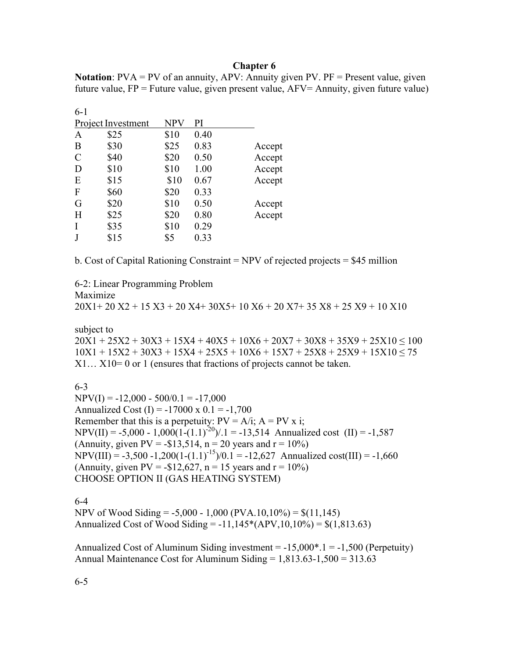#### **Chapter 6**

| <b>Notation</b> : $PVA = PV$ of an annuity, $APV$ : Annuity given PV. $PF =$ Present value, given |  |
|---------------------------------------------------------------------------------------------------|--|
| future value, $FP =$ Future value, given present value, $AFV =$ Annuity, given future value)      |  |

| NPV  | PI   |        |
|------|------|--------|
| \$10 | 0.40 |        |
| \$25 | 0.83 | Accept |
| \$20 | 0.50 | Accept |
| \$10 | 1.00 | Accept |
| \$10 | 0.67 | Accept |
| \$20 | 0.33 |        |
| \$10 | 0.50 | Accept |
| \$20 | 0.80 | Accept |
| \$10 | 0.29 |        |
| \$5  | 0.33 |        |
|      |      |        |

b. Cost of Capital Rationing Constraint = NPV of rejected projects = \$45 million

6-2: Linear Programming Problem

Maximize

20X1+ 20 X2 + 15 X3 + 20 X4+ 30X5+ 10 X6 + 20 X7+ 35 X8 + 25 X9 + 10 X10

subject to

 $20X1 + 25X2 + 30X3 + 15X4 + 40X5 + 10X6 + 20X7 + 30X8 + 35X9 + 25X10 \le 100$  $10X1 + 15X2 + 30X3 + 15X4 + 25X5 + 10X6 + 15X7 + 25X8 + 25X9 + 15X10 < 75$ X1… X10= 0 or 1 (ensures that fractions of projects cannot be taken.

6-3

 $NPV(I) = -12,000 - 500/0.1 = -17,000$ Annualized Cost  $(I) = -17000 \times 0.1 = -1,700$ Remember that this is a perpetuity:  $PV = A/i$ ;  $A = PV \times i$ ; NPV(II) = -5,000 - 1,000(1-(1.1)<sup>-20</sup>)/.1 = -13,514 Annualized cost (II) = -1,587 (Annuity, given  $PV = -\$13,514$ ,  $n = 20$  years and  $r = 10\%$ ) NPV(III) = -3,500 -1,200(1-(1.1)<sup>-15</sup>)/0.1 = -12,627 Annualized cost(III) = -1,660 (Annuity, given PV =  $-$ \$12,627, n = 15 years and r = 10%) CHOOSE OPTION II (GAS HEATING SYSTEM)

6-4

NPV of Wood Siding =  $-5,000 - 1,000$  (PVA.10,10%) = \$(11,145) Annualized Cost of Wood Siding =  $-11,145*(APV,10,10\%) = $(1,813.63)$ 

Annualized Cost of Aluminum Siding investment  $= -15,000^*$ .  $= -1,500$  (Perpetuity) Annual Maintenance Cost for Aluminum Siding = 1,813.63-1,500 = 313.63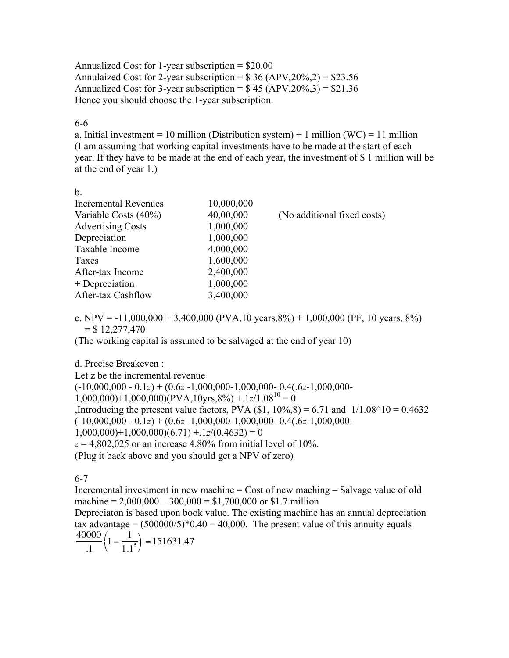Annualized Cost for 1-year subscription  $=$  \$20.00 Annulaized Cost for 2-year subscription =  $$36 (APV,20\%,2) = $23.56$ Annualized Cost for 3-year subscription =  $$45 (APV, 20\%, 3) = $21.36$ Hence you should choose the 1-year subscription.

#### 6-6

a. Initial investment = 10 million (Distribution system) + 1 million (WC) = 11 million (I am assuming that working capital investments have to be made at the start of each year. If they have to be made at the end of each year, the investment of \$ 1 million will be at the end of year 1.)

| ۰                        |  |
|--------------------------|--|
| ۰.<br>۰.<br>×<br>M.<br>v |  |

| <b>Incremental Revenues</b> | 10,000,000 |                             |
|-----------------------------|------------|-----------------------------|
| Variable Costs (40%)        | 40,00,000  | (No additional fixed costs) |
| <b>Advertising Costs</b>    | 1,000,000  |                             |
| Depreciation                | 1,000,000  |                             |
| Taxable Income              | 4,000,000  |                             |
| Taxes                       | 1,600,000  |                             |
| After-tax Income            | 2,400,000  |                             |
| + Depreciation              | 1,000,000  |                             |
| After-tax Cashflow          | 3,400,000  |                             |

c. NPV =  $-11,000,000 + 3,400,000$  (PVA, 10 years, 8%) + 1,000,000 (PF, 10 years, 8%)  $=$  \$ 12,277,470

(The working capital is assumed to be salvaged at the end of year 10)

# d. Precise Breakeven :

Let z be the incremental revenue (-10,000,000 - 0.1*z*) + (0.6*z* -1,000,000-1,000,000- 0.4(.6*z*-1,000,000-  $1,000,000$ +1,000,000)(PVA,10yrs,8%) +.1*z*/1.08<sup>10</sup> = 0 ,Introducing the prtesent value factors, PVA  $(\$1, 10\%, 8) = 6.71$  and  $1/1.08^{\circ}10 = 0.4632$ (-10,000,000 - 0.1*z*) + (0.6*z* -1,000,000-1,000,000- 0.4(.6*z*-1,000,000-  $1,000,000$ +1,000,000)(6.71) +.1*z*/(0.4632) = 0  $z = 4,802,025$  or an increase 4.80% from initial level of 10%. (Plug it back above and you should get a NPV of zero)

6-7

Incremental investment in new machine = Cost of new maching – Salvage value of old machine =  $2,000,000 - 300,000 = $1,700,000$  or \$1.7 million

Depreciaton is based upon book value. The existing machine has an annual depreciation tax advantage =  $(500000/5)*0.40 = 40,000$ . The present value of this annuity equals 40000  $1 - \frac{1}{1}$  $\left(1-\frac{1}{1.1^5}\right) = 151631.47$ 

$$
\frac{1}{11} \left( 1 - \frac{1}{1.1^5} \right) = 1.5
$$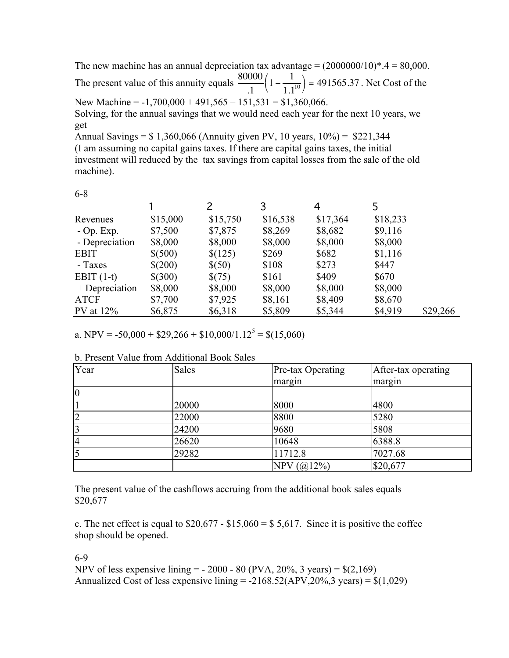The new machine has an annual depreciation tax advantage =  $(2000000/10)*.4 = 80,000$ . The present value of this annuity equals  $\frac{80000}{1}$ .1  $1 - \frac{1}{1}$  $1.1^{10}$  $\left(1 - \frac{1}{1.1^{10}}\right)$  = 491565.37. Net Cost of the New Machine =  $-1,700,000 + 491,565 - 151,531 = $1,360,066$ .

Solving, for the annual savings that we would need each year for the next 10 years, we get

Annual Savings = \$ 1,360,066 (Annuity given PV, 10 years, 10%) = \$221,344 (I am assuming no capital gains taxes. If there are capital gains taxes, the initial investment will reduced by the tax savings from capital losses from the sale of the old machine).

| v<br>I<br>۰.<br>×<br>۰.<br>v<br>×<br>× |  |
|----------------------------------------|--|
|                                        |  |

|                |          |          | 3        | 4        |          |          |
|----------------|----------|----------|----------|----------|----------|----------|
| Revenues       | \$15,000 | \$15,750 | \$16,538 | \$17,364 | \$18,233 |          |
| $-$ Op. Exp.   | \$7,500  | \$7,875  | \$8,269  | \$8,682  | \$9,116  |          |
| - Depreciation | \$8,000  | \$8,000  | \$8,000  | \$8,000  | \$8,000  |          |
| <b>EBIT</b>    | \$(500)  | \$(125)  | \$269    | \$682    | \$1,116  |          |
| - Taxes        | \$(200)  | \$(50)   | \$108    | \$273    | \$447    |          |
| EBIT $(1-t)$   | \$(300)  | \$(75)   | \$161    | \$409    | \$670    |          |
| + Depreciation | \$8,000  | \$8,000  | \$8,000  | \$8,000  | \$8,000  |          |
| <b>ATCF</b>    | \$7,700  | \$7,925  | \$8,161  | \$8,409  | \$8,670  |          |
| $PV$ at $12\%$ | \$6,875  | \$6,318  | \$5,809  | \$5,344  | \$4,919  | \$29,266 |

a. NPV =  $-50,000 + $29,266 + $10,000/1.12^5 = $(15,060)$ 

| Year           | <b>Sales</b> | Pre-tax Operating | After-tax operating |
|----------------|--------------|-------------------|---------------------|
|                |              | margin            | margin              |
| $\overline{0}$ |              |                   |                     |
|                | 20000        | 8000              | 4800                |
|                | 22000        | 8800              | 5280                |
|                | 24200        | 9680              | 5808                |
| $\overline{4}$ | 26620        | 10648             | 6388.8              |
|                | 29282        | 11712.8           | 7027.68             |
|                |              | NPV $(Q(12%)$     | \$20,677            |

b. Present Value from Additional Book Sales

The present value of the cashflows accruing from the additional book sales equals \$20,677

c. The net effect is equal to  $$20,677 - $15,060 = $5,617$ . Since it is positive the coffee shop should be opened.

6-9

NPV of less expensive lining  $= -2000 - 80$  (PVA, 20%, 3 years)  $=$  \$(2,169) Annualized Cost of less expensive lining  $= -2168.52 \text{(APV,20%,3 years)} = $(1,029)$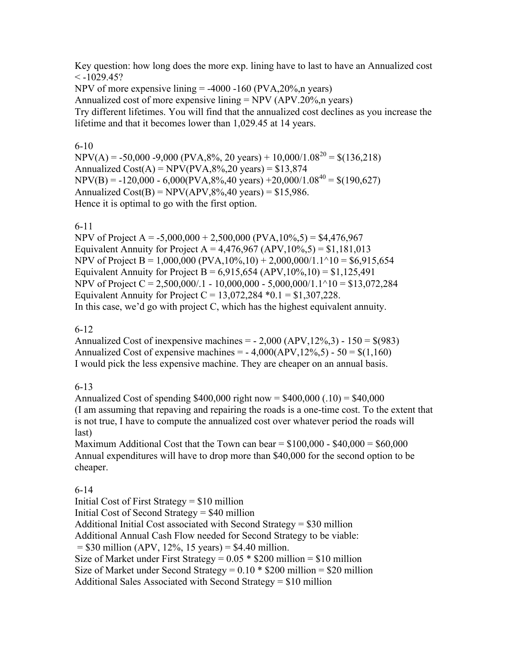Key question: how long does the more exp. lining have to last to have an Annualized cost  $\leq$  -1029.45?

NPV of more expensive lining  $=$  -4000 -160 (PVA, 20%, n years) Annualized cost of more expensive lining  $= NPV (APV.20\%, n \text{ years})$ Try different lifetimes. You will find that the annualized cost declines as you increase the lifetime and that it becomes lower than 1,029.45 at 14 years.

#### 6-10

 $NPV(A) = -50,000 - 9,000 (PVA, 8\%, 20 \text{ years}) + 10,000/1.08^{20} = $(136.218)$ Annualized  $Cost(A) = NPV(PVA, 8\%, 20 \text{ years}) = $13,874$  $NPV(B) = -120,000 - 6,000 (PVA, 8\%, 40 \text{ years}) + 20,000/1.08^{40} = $(190,627)$ Annualized  $Cost(B) = NPV(APV,8\%,40 \text{ years}) = $15,986$ . Hence it is optimal to go with the first option.

# 6-11

NPV of Project A =  $-5,000,000 + 2,500,000$  (PVA,  $10\%$ , 5) = \$4,476,967 Equivalent Annuity for Project A =  $4,476,967$  (APV,  $10\%$ ,  $5$ ) = \$1,181,013 NPV of Project B = 1,000,000 (PVA,10%,10) + 2,000,000/1.1^10 = \$6,915,654 Equivalent Annuity for Project B =  $6,915,654$  (APV,  $10\%, 10$ ) = \$1,125,491 NPV of Project C = 2,500,000/.1 - 10,000,000 - 5,000,000/1.1^10 = \$13,072,284 Equivalent Annuity for Project  $C = 13,072,284 *0.1 = $1,307,228$ . In this case, we'd go with project C, which has the highest equivalent annuity.

# 6-12

Annualized Cost of inexpensive machines  $=$  - 2,000 (APV, 12%, 3) - 150  $=$  \$(983) Annualized Cost of expensive machines =  $-4,000(APV,12\%,5) - 50 = $(1,160)$ I would pick the less expensive machine. They are cheaper on an annual basis.

# 6-13

Annualized Cost of spending  $$400,000$  right now =  $$400,000$  (.10) =  $$40,000$ (I am assuming that repaving and repairing the roads is a one-time cost. To the extent that is not true, I have to compute the annualized cost over whatever period the roads will last)

Maximum Additional Cost that the Town can bear =  $$100,000 - $40,000 = $60,000$ Annual expenditures will have to drop more than \$40,000 for the second option to be cheaper.

# 6-14

Initial Cost of First Strategy = \$10 million Initial Cost of Second Strategy = \$40 million Additional Initial Cost associated with Second Strategy = \$30 million Additional Annual Cash Flow needed for Second Strategy to be viable:  $= $30$  million (APV, 12%, 15 years)  $= $4.40$  million. Size of Market under First Strategy =  $0.05 * $200$  million = \$10 million Size of Market under Second Strategy =  $0.10 * $200$  million = \$20 million Additional Sales Associated with Second Strategy = \$10 million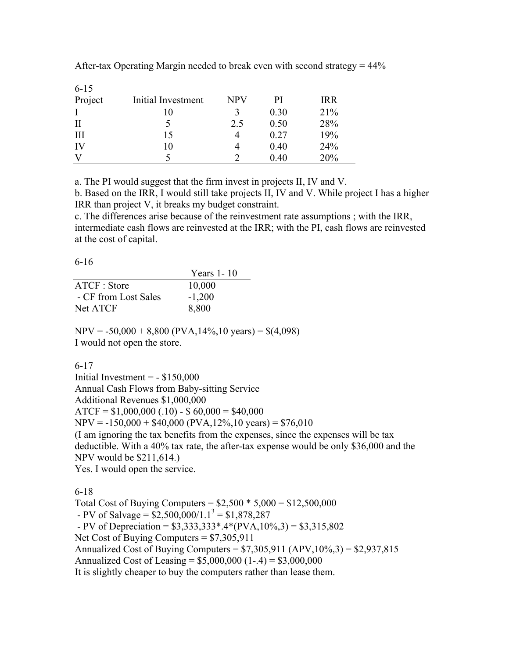| $6 - 15$ |                    |            |      |            |
|----------|--------------------|------------|------|------------|
| Project  | Initial Investment | <b>NPV</b> | PI   | <b>IRR</b> |
|          |                    |            | 0.30 | 21%        |
| $\rm II$ |                    | 2.5        | 0.50 | 28%        |
| III      | 15                 |            | 0.27 | 19%        |
| IV       | 10                 |            | 0.40 | 24%        |
| V        |                    |            | 0.40 | 20%        |

After-tax Operating Margin needed to break even with second strategy  $= 44\%$ 

a. The PI would suggest that the firm invest in projects II, IV and V.

b. Based on the IRR, I would still take projects II, IV and V. While project I has a higher IRR than project V, it breaks my budget constraint.

c. The differences arise because of the reinvestment rate assumptions ; with the IRR, intermediate cash flows are reinvested at the IRR; with the PI, cash flows are reinvested at the cost of capital.

6-16

|                      | Years 1-10 |
|----------------------|------------|
| ATCF: Store          | 10,000     |
| - CF from Lost Sales | $-1,200$   |
| Net ATCF             | 8,800      |

 $NPV = -50,000 + 8,800 (PVA, 14\%, 10 \text{ years}) = $(4,098)$ I would not open the store.

6-17

Initial Investment  $= - $150,000$ Annual Cash Flows from Baby-sitting Service Additional Revenues \$1,000,000  $ATCF = $1,000,000(.10) - $60,000 = $40,000$  $NPV = -150,000 + $40,000 (PVA, 12\%, 10 \text{ years}) = $76,010$ (I am ignoring the tax benefits from the expenses, since the expenses will be tax deductible. With a 40% tax rate, the after-tax expense would be only \$36,000 and the NPV would be \$211,614.) Yes. I would open the service.

6-18

Total Cost of Buying Computers =  $$2,500 * 5,000 = $12,500,000$ - PV of Salvage =  $$2,500,000/1.1^3 = $1,878,287$  $- PV of Depreciation = $3,333,333* .4*(PVA,10%,3) = $3,315,802$ Net Cost of Buying Computers = \$7,305,911 Annualized Cost of Buying Computers =  $$7,305,911$  (APV,  $10\%, 3$ ) =  $$2,937,815$ Annualized Cost of Leasing =  $$5,000,000$  (1-.4) =  $$3,000,000$ It is slightly cheaper to buy the computers rather than lease them.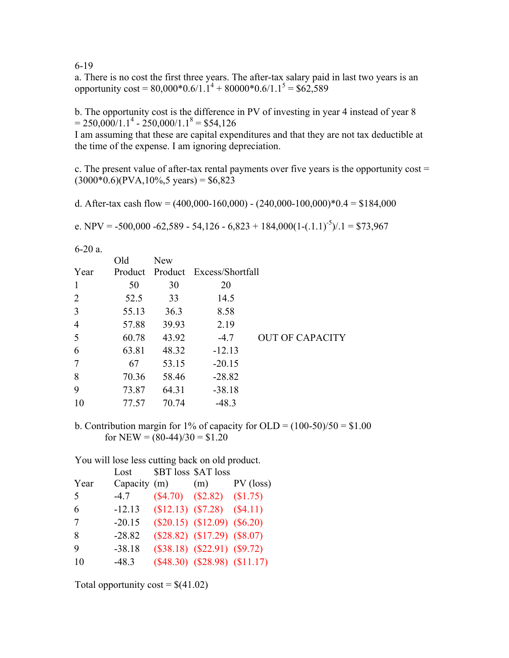6-19

a. There is no cost the first three years. The after-tax salary paid in last two years is an opportunity  $\cos t = 80,000*0.6/1.1^4 + 80000*0.6/1.1^5 = $62,589$ 

b. The opportunity cost is the difference in PV of investing in year 4 instead of year 8  $= 250,000/1.1^{4} - 250,000/1.1^{8} = $54,126$ 

I am assuming that these are capital expenditures and that they are not tax deductible at the time of the expense. I am ignoring depreciation.

c. The present value of after-tax rental payments over five years is the opportunity  $cost =$  $(3000*0.6)(PVA, 10\%, 5 \text{ years}) = $6,823$ 

d. After-tax cash flow =  $(400,000-160,000)$  -  $(240,000-100,000)*0.4 = $184,000$ 

e. NPV = -500,000 -62,589 - 54,126 - 6,823 + 184,000(1-(.1.1)<sup>-5</sup>)/.1 = \$73,967

6-20 a.

|                | Old   | New   |                                  |                        |
|----------------|-------|-------|----------------------------------|------------------------|
| Year           |       |       | Product Product Excess/Shortfall |                        |
| $\mathbf{1}$   | 50    | 30    | 20                               |                        |
| 2              | 52.5  | 33    | 14.5                             |                        |
| $\overline{3}$ | 55.13 | 36.3  | 8.58                             |                        |
| $\overline{4}$ | 57.88 | 39.93 | 2.19                             |                        |
| 5              | 60.78 | 43.92 | $-4.7$                           | <b>OUT OF CAPACITY</b> |
| 6              | 63.81 | 48.32 | $-12.13$                         |                        |
| 7              | 67    | 53.15 | $-20.15$                         |                        |
| 8              | 70.36 | 58.46 | $-28.82$                         |                        |
| 9              | 73.87 | 64.31 | $-38.18$                         |                        |
| 10             | 77.57 | 70.74 | $-48.3$                          |                        |

b. Contribution margin for 1% of capacity for OLD =  $(100-50)/50 = $1.00$ for NEW =  $(80-44)/30 = $1,20$ 

You will lose less cutting back on old product.

|      | Lost         | \$BT loss \$AT loss |                                     |             |
|------|--------------|---------------------|-------------------------------------|-------------|
| Year | Capacity (m) |                     | (m)                                 | $PV$ (loss) |
| 5    | $-4.7$       |                     | $($4.70)$ $($2.82)$ $($1.75)$       |             |
| 6    | $-12.13$     |                     | $$12.13)$ $$7.28)$ $$4.11)$         |             |
| 7    | $-20.15$     |                     | $(\$20.15)$ $(\$12.09)$ $(\$6.20)$  |             |
| 8    | $-28.82$     |                     | $(\$28.82)$ $(\$17.29)$ $(\$8.07)$  |             |
| 9    | $-38.18$     |                     | $(\$38.18)$ $(\$22.91)$ $(\$9.72)$  |             |
| 10   | $-48.3$      |                     | $(\$48.30)$ $(\$28.98)$ $(\$11.17)$ |             |
|      |              |                     |                                     |             |

Total opportunity  $\text{cost} = \frac{\mathcal{S}(41.02)}{2}$